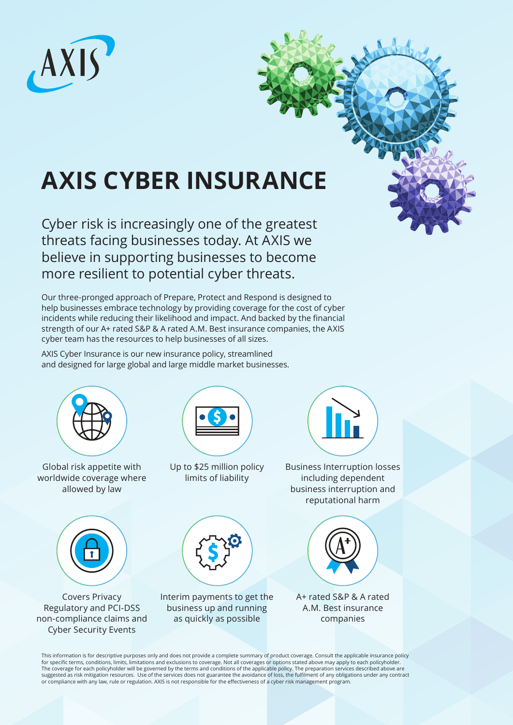

# **AXIS CYBER INSURANCE**

Cyber risk is increasingly one of the greatest threats facing businesses today. At AXIS we believe in supporting businesses to become more resilient to potential cyber threats.

Our three-pronged approach of Prepare, Protect and Respond is designed to help businesses embrace technology by providing coverage for the cost of cyber incidents while reducing their likelihood and impact. And backed by the financial strength of our A+ rated S&P & A rated A.M. Best insurance companies, the AXIS cyber team has the resources to help businesses of all sizes.

AXIS Cyber Insurance is our new insurance policy, streamlined and designed for large global and large middle market businesses.



for specific terms, conditions, limits, limitations and exclusions to coverage. Not all coverages or options stated above may apply to each policyholder. The coverage for each policyholder will be governed by the terms and conditions of the applicable policy. The preparation services described above are<br>suggested as risk mitigation resources. Use of the services does not gu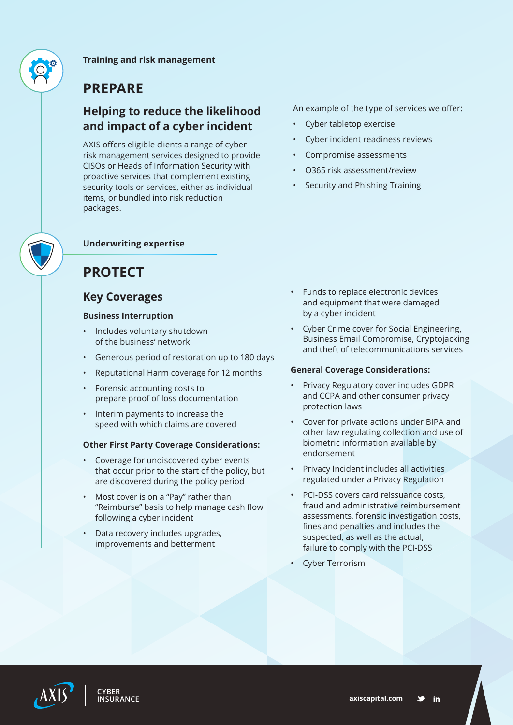**Training and risk management**

## **PREPARE**

### **Helping to reduce the likelihood and impact of a cyber incident**

AXIS offers eligible clients a range of cyber risk management services designed to provide CISOs or Heads of Information Security with proactive services that complement existing security tools or services, either as individual items, or bundled into risk reduction packages.

### **Underwriting expertise**

# **PROTECT**

### **Key Coverages**

### **Business Interruption**

- Includes voluntary shutdown of the business' network
- Generous period of restoration up to 180 days
- Reputational Harm coverage for 12 months
- Forensic accounting costs to prepare proof of loss documentation
- Interim payments to increase the speed with which claims are covered

#### **Other First Party Coverage Considerations:**

- Coverage for undiscovered cyber events that occur prior to the start of the policy, but are discovered during the policy period
- Most cover is on a "Pay" rather than "Reimburse" basis to help manage cash flow following a cyber incident
- Data recovery includes upgrades, improvements and betterment

An example of the type of services we offer:

- Cyber tabletop exercise
- Cyber incident readiness reviews
- Compromise assessments
- O365 risk assessment/review
- Security and Phishing Training

- Funds to replace electronic devices and equipment that were damaged by a cyber incident
- Cyber Crime cover for Social Engineering, Business Email Compromise, Cryptojacking and theft of telecommunications services

#### **General Coverage Considerations:**

- Privacy Regulatory cover includes GDPR and CCPA and other consumer privacy protection laws
- Cover for private actions under BIPA and other law regulating collection and use of biometric information available by endorsement
- Privacy Incident includes all activities regulated under a Privacy Regulation
- PCI-DSS covers card reissuance costs, fraud and administrative reimbursement assessments, forensic investigation costs, fines and penalties and includes the suspected, as well as the actual, failure to comply with the PCI-DSS
- Cyber Terrorism